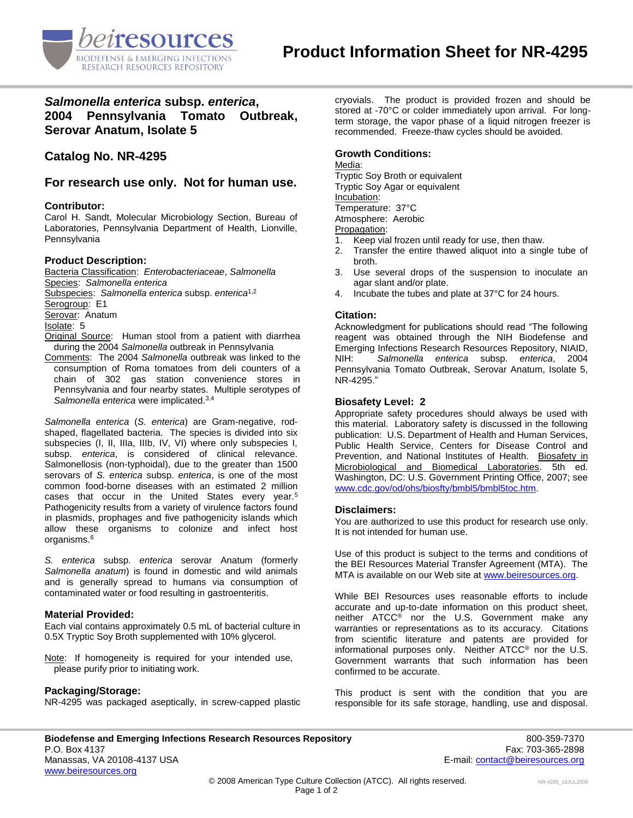

# *Salmonella enterica* **subsp.** *enterica***, 2004 Pennsylvania Tomato Outbreak, Serovar Anatum, Isolate 5**

**Catalog No. NR-4295**

**For research use only. Not for human use.**

# **Contributor:**

Carol H. Sandt, Molecular Microbiology Section, Bureau of Laboratories, Pennsylvania Department of Health, Lionville, Pennsylvania

### **Product Description:**

Bacteria Classification: *Enterobacteriaceae*, *Salmonella* Species: *Salmonella enterica* Subspecies: *Salmonella enterica* subsp. *enterica*1,2 Serogroup: E1 Serovar: Anatum Isolate: 5 Original Source: Human stool from a patient with diarrhea during the 2004 *Salmonella* outbreak in Pennsylvania

Comments: The 2004 *Salmonella* outbreak was linked to the consumption of Roma tomatoes from deli counters of a chain of 302 gas station convenience stores in Pennsylvania and four nearby states. Multiple serotypes of *Salmonella enterica* were implicated.3,4

*Salmonella enterica* (*S. enterica*) are Gram-negative, rodshaped, flagellated bacteria. The species is divided into six subspecies (I, II, IIIa, IIIb, IV, VI) where only subspecies I, subsp. *enterica*, is considered of clinical relevance. Salmonellosis (non-typhoidal), due to the greater than 1500 serovars of *S. enterica* subsp. *enterica*, is one of the most common food-borne diseases with an estimated 2 million cases that occur in the United States every year.<sup>5</sup> Pathogenicity results from a variety of virulence factors found in plasmids, prophages and five pathogenicity islands which allow these organisms to colonize and infect host organisms.<sup>6</sup>

*S. enterica* subsp. *enterica* serovar Anatum (formerly *Salmonella anatum*) is found in domestic and wild animals and is generally spread to humans via consumption of contaminated water or food resulting in gastroenteritis.

#### **Material Provided:**

Each vial contains approximately 0.5 mL of bacterial culture in 0.5X Tryptic Soy Broth supplemented with 10% glycerol.

Note: If homogeneity is required for your intended use, please purify prior to initiating work.

# **Packaging/Storage:**

NR-4295 was packaged aseptically, in screw-capped plastic

cryovials. The product is provided frozen and should be stored at -70°C or colder immediately upon arrival. For longterm storage, the vapor phase of a liquid nitrogen freezer is recommended. Freeze-thaw cycles should be avoided.

# **Growth Conditions:**

Media:

Tryptic Soy Broth or equivalent Tryptic Soy Agar or equivalent Incubation: Temperature: 37°C Atmosphere: Aerobic Propagation:

- 1. Keep vial frozen until ready for use, then thaw.
- 2. Transfer the entire thawed aliquot into a single tube of broth.
- 3. Use several drops of the suspension to inoculate an agar slant and/or plate.
- 4. Incubate the tubes and plate at 37°C for 24 hours.

# **Citation:**

Acknowledgment for publications should read "The following reagent was obtained through the NIH Biodefense and Emerging Infections Research Resources Repository, NIAID, NIH: *Salmonella enterica* subsp. *enterica*, 2004 Pennsylvania Tomato Outbreak, Serovar Anatum, Isolate 5, NR-4295."

### **Biosafety Level: 2**

Appropriate safety procedures should always be used with this material. Laboratory safety is discussed in the following publication: U.S. Department of Health and Human Services, Public Health Service, Centers for Disease Control and Prevention, and National Institutes of Health. Biosafety in Microbiological and Biomedical Laboratories. 5th ed. Washington, DC: U.S. Government Printing Office, 2007; see [www.cdc.gov/od/ohs/biosfty/bmbl5/bmbl5toc.htm.](http://www.cdc.gov/od/ohs/biosfty/bmbl5/bmbl5toc.htm)

## **Disclaimers:**

You are authorized to use this product for research use only. It is not intended for human use.

Use of this product is subject to the terms and conditions of the BEI Resources Material Transfer Agreement (MTA). The MTA is available on our Web site at [www.beiresources.org.](http://www.beiresources.org/)

While BEI Resources uses reasonable efforts to include accurate and up-to-date information on this product sheet, neither ATCC<sup>®</sup> nor the U.S. Government make any warranties or representations as to its accuracy. Citations from scientific literature and patents are provided for informational purposes only. Neither ATCC® nor the U.S. Government warrants that such information has been confirmed to be accurate.

This product is sent with the condition that you are responsible for its safe storage, handling, use and disposal.